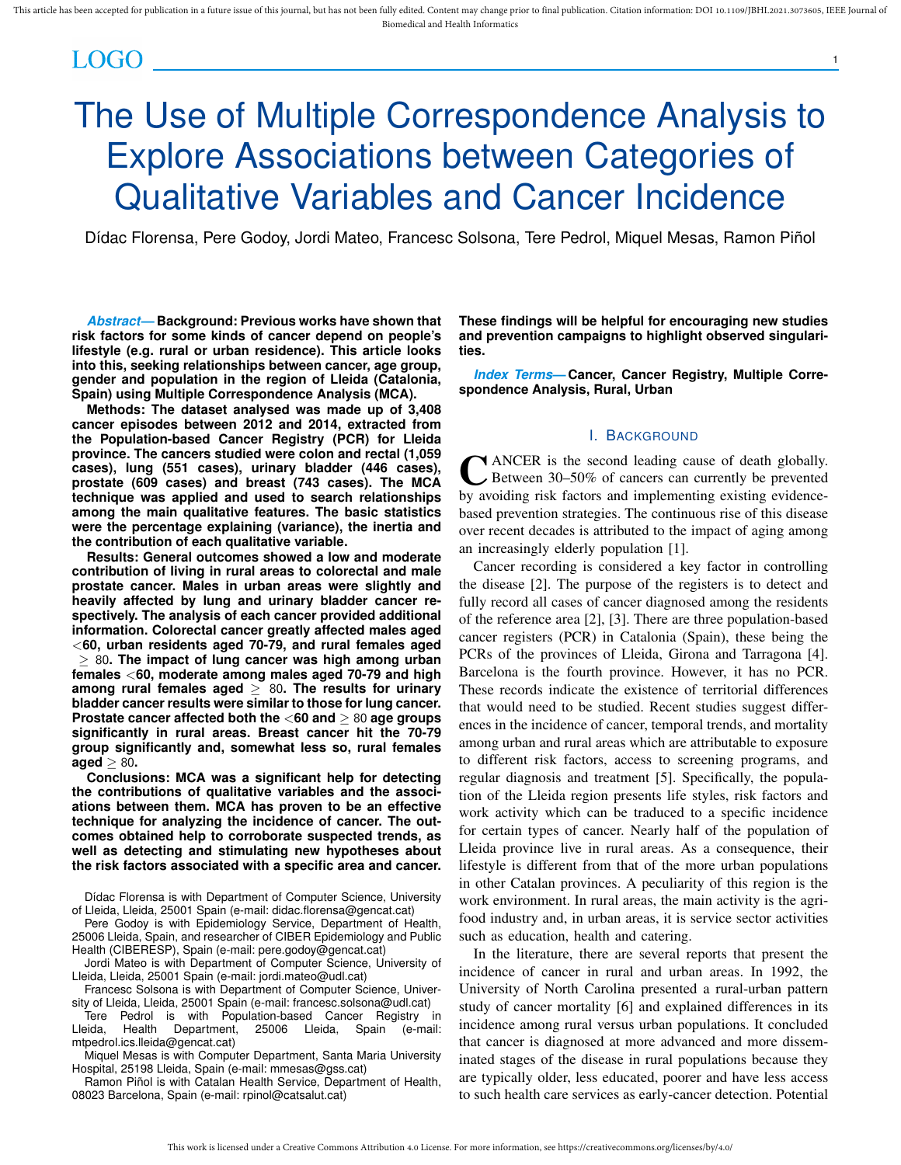# LOGO I

# The Use of Multiple Correspondence Analysis to Explore Associations between Categories of Qualitative Variables and Cancer Incidence

Dídac Florensa, Pere Godoy, Jordi Mateo, Francesc Solsona, Tere Pedrol, Miquel Mesas, Ramon Piñol

*Abstract***— Background: Previous works have shown that risk factors for some kinds of cancer depend on people's lifestyle (e.g. rural or urban residence). This article looks into this, seeking relationships between cancer, age group, gender and population in the region of Lleida (Catalonia, Spain) using Multiple Correspondence Analysis (MCA).**

**Methods: The dataset analysed was made up of 3,408 cancer episodes between 2012 and 2014, extracted from the Population-based Cancer Registry (PCR) for Lleida province. The cancers studied were colon and rectal (1,059 cases), lung (551 cases), urinary bladder (446 cases), prostate (609 cases) and breast (743 cases). The MCA technique was applied and used to search relationships among the main qualitative features. The basic statistics were the percentage explaining (variance), the inertia and the contribution of each qualitative variable.**

**Results: General outcomes showed a low and moderate contribution of living in rural areas to colorectal and male prostate cancer. Males in urban areas were slightly and heavily affected by lung and urinary bladder cancer respectively. The analysis of each cancer provided additional information. Colorectal cancer greatly affected males aged** <**60, urban residents aged 70-79, and rural females aged** ≥ 80**. The impact of lung cancer was high among urban females** <**60, moderate among males aged 70-79 and high among rural females aged** ≥ 80**. The results for urinary bladder cancer results were similar to those for lung cancer. Prostate cancer affected both the** <**60 and** ≥ 80 **age groups significantly in rural areas. Breast cancer hit the 70-79 group significantly and, somewhat less so, rural females aged** ≥ 80**.**

**Conclusions: MCA was a significant help for detecting the contributions of qualitative variables and the associations between them. MCA has proven to be an effective technique for analyzing the incidence of cancer. The outcomes obtained help to corroborate suspected trends, as well as detecting and stimulating new hypotheses about the risk factors associated with a specific area and cancer.**

Dídac Florensa is with Department of Computer Science, University of Lleida, Lleida, 25001 Spain (e-mail: didac.florensa@gencat.cat)

Pere Godoy is with Epidemiology Service, Department of Health, 25006 Lleida, Spain, and researcher of CIBER Epidemiology and Public Health (CIBERESP), Spain (e-mail: pere.godoy@gencat.cat)

Jordi Mateo is with Department of Computer Science, University of Lleida, Lleida, 25001 Spain (e-mail: jordi.mateo@udl.cat)

Francesc Solsona is with Department of Computer Science, University of Lleida, Lleida, 25001 Spain (e-mail: francesc.solsona@udl.cat)

Tere Pedrol is with Population-based Cancer Registry in<br>eida, Health Department, 25006 Lleida, Spain (e-mail: Lleida, Health Department, 25006 Lleida, Spain (e-mail: mtpedrol.ics.lleida@gencat.cat)

Miquel Mesas is with Computer Department, Santa Maria University Hospital, 25198 Lleida, Spain (e-mail: mmesas@gss.cat)

Ramon Piñol is with Catalan Health Service, Department of Health, 08023 Barcelona, Spain (e-mail: rpinol@catsalut.cat)

**These findings will be helpful for encouraging new studies and prevention campaigns to highlight observed singularities.**

1

*Index Terms***— Cancer, Cancer Registry, Multiple Correspondence Analysis, Rural, Urban**

# I. BACKGROUND

CANCER is the second leading cause of death globally.<br>Between 30–50% of cancers can currently be prevented Between 30–50% of cancers can currently be prevented by avoiding risk factors and implementing existing evidencebased prevention strategies. The continuous rise of this disease over recent decades is attributed to the impact of aging among an increasingly elderly population [1].

Cancer recording is considered a key factor in controlling the disease [2]. The purpose of the registers is to detect and fully record all cases of cancer diagnosed among the residents of the reference area [2], [3]. There are three population-based cancer registers (PCR) in Catalonia (Spain), these being the PCRs of the provinces of Lleida, Girona and Tarragona [4]. Barcelona is the fourth province. However, it has no PCR. These records indicate the existence of territorial differences that would need to be studied. Recent studies suggest differences in the incidence of cancer, temporal trends, and mortality among urban and rural areas which are attributable to exposure to different risk factors, access to screening programs, and regular diagnosis and treatment [5]. Specifically, the population of the Lleida region presents life styles, risk factors and work activity which can be traduced to a specific incidence for certain types of cancer. Nearly half of the population of Lleida province live in rural areas. As a consequence, their lifestyle is different from that of the more urban populations in other Catalan provinces. A peculiarity of this region is the work environment. In rural areas, the main activity is the agrifood industry and, in urban areas, it is service sector activities such as education, health and catering.

In the literature, there are several reports that present the incidence of cancer in rural and urban areas. In 1992, the University of North Carolina presented a rural-urban pattern study of cancer mortality [6] and explained differences in its incidence among rural versus urban populations. It concluded that cancer is diagnosed at more advanced and more disseminated stages of the disease in rural populations because they are typically older, less educated, poorer and have less access to such health care services as early-cancer detection. Potential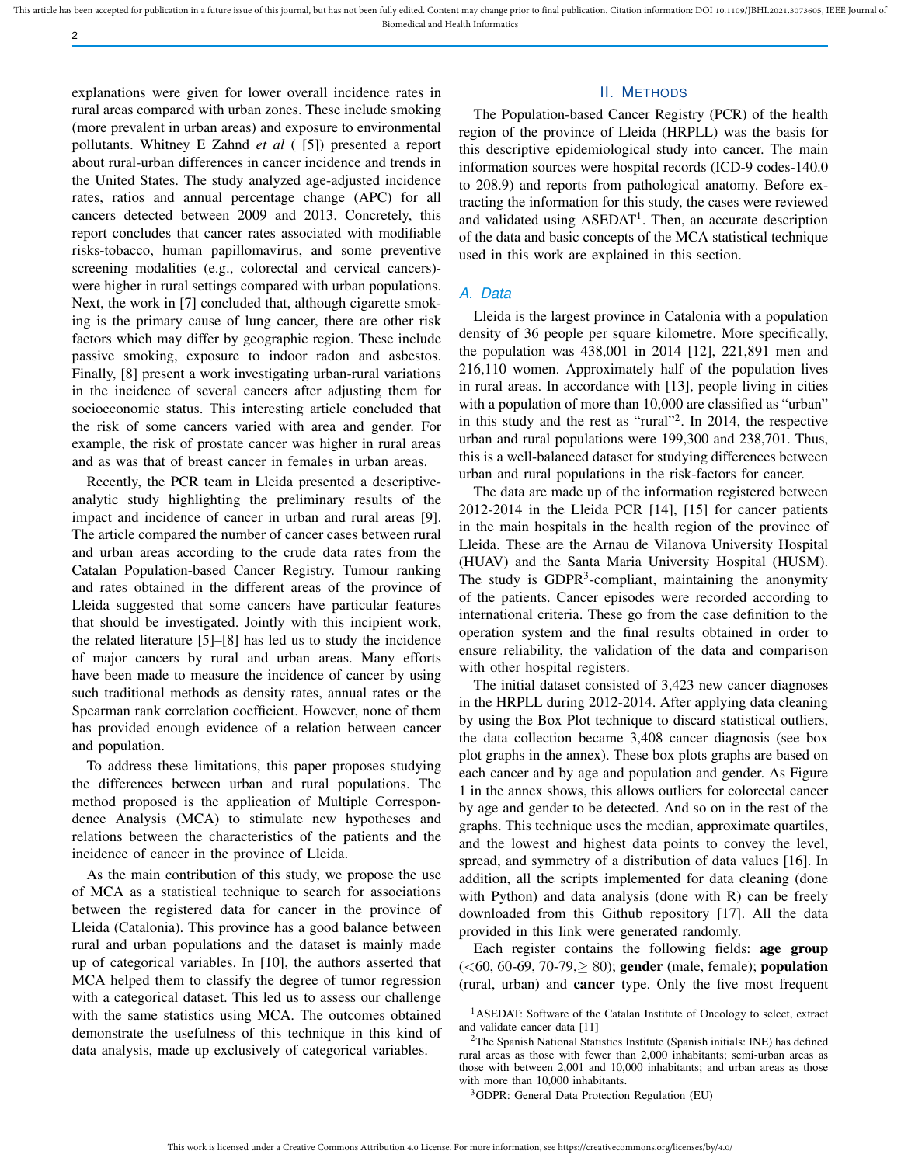explanations were given for lower overall incidence rates in rural areas compared with urban zones. These include smoking (more prevalent in urban areas) and exposure to environmental pollutants. Whitney E Zahnd *et al* ( [5]) presented a report about rural-urban differences in cancer incidence and trends in the United States. The study analyzed age-adjusted incidence rates, ratios and annual percentage change (APC) for all cancers detected between 2009 and 2013. Concretely, this report concludes that cancer rates associated with modifiable risks-tobacco, human papillomavirus, and some preventive screening modalities (e.g., colorectal and cervical cancers) were higher in rural settings compared with urban populations. Next, the work in [7] concluded that, although cigarette smoking is the primary cause of lung cancer, there are other risk factors which may differ by geographic region. These include passive smoking, exposure to indoor radon and asbestos. Finally, [8] present a work investigating urban-rural variations in the incidence of several cancers after adjusting them for socioeconomic status. This interesting article concluded that the risk of some cancers varied with area and gender. For example, the risk of prostate cancer was higher in rural areas and as was that of breast cancer in females in urban areas.

2

Recently, the PCR team in Lleida presented a descriptiveanalytic study highlighting the preliminary results of the impact and incidence of cancer in urban and rural areas [9]. The article compared the number of cancer cases between rural and urban areas according to the crude data rates from the Catalan Population-based Cancer Registry. Tumour ranking and rates obtained in the different areas of the province of Lleida suggested that some cancers have particular features that should be investigated. Jointly with this incipient work, the related literature [5]–[8] has led us to study the incidence of major cancers by rural and urban areas. Many efforts have been made to measure the incidence of cancer by using such traditional methods as density rates, annual rates or the Spearman rank correlation coefficient. However, none of them has provided enough evidence of a relation between cancer and population.

To address these limitations, this paper proposes studying the differences between urban and rural populations. The method proposed is the application of Multiple Correspondence Analysis (MCA) to stimulate new hypotheses and relations between the characteristics of the patients and the incidence of cancer in the province of Lleida.

As the main contribution of this study, we propose the use of MCA as a statistical technique to search for associations between the registered data for cancer in the province of Lleida (Catalonia). This province has a good balance between rural and urban populations and the dataset is mainly made up of categorical variables. In [10], the authors asserted that MCA helped them to classify the degree of tumor regression with a categorical dataset. This led us to assess our challenge with the same statistics using MCA. The outcomes obtained demonstrate the usefulness of this technique in this kind of data analysis, made up exclusively of categorical variables.

#### II. METHODS

The Population-based Cancer Registry (PCR) of the health region of the province of Lleida (HRPLL) was the basis for this descriptive epidemiological study into cancer. The main information sources were hospital records (ICD-9 codes-140.0 to 208.9) and reports from pathological anatomy. Before extracting the information for this study, the cases were reviewed and validated using ASEDAT<sup>1</sup>. Then, an accurate description of the data and basic concepts of the MCA statistical technique used in this work are explained in this section.

#### *A. Data*

Lleida is the largest province in Catalonia with a population density of 36 people per square kilometre. More specifically, the population was 438,001 in 2014 [12], 221,891 men and 216,110 women. Approximately half of the population lives in rural areas. In accordance with [13], people living in cities with a population of more than 10,000 are classified as "urban" in this study and the rest as "rural"<sup>2</sup> . In 2014, the respective urban and rural populations were 199,300 and 238,701. Thus, this is a well-balanced dataset for studying differences between urban and rural populations in the risk-factors for cancer.

The data are made up of the information registered between 2012-2014 in the Lleida PCR [14], [15] for cancer patients in the main hospitals in the health region of the province of Lleida. These are the Arnau de Vilanova University Hospital (HUAV) and the Santa Maria University Hospital (HUSM). The study is GDPR<sup>3</sup>-compliant, maintaining the anonymity of the patients. Cancer episodes were recorded according to international criteria. These go from the case definition to the operation system and the final results obtained in order to ensure reliability, the validation of the data and comparison with other hospital registers.

The initial dataset consisted of 3,423 new cancer diagnoses in the HRPLL during 2012-2014. After applying data cleaning by using the Box Plot technique to discard statistical outliers, the data collection became 3,408 cancer diagnosis (see box plot graphs in the annex). These box plots graphs are based on each cancer and by age and population and gender. As Figure 1 in the annex shows, this allows outliers for colorectal cancer by age and gender to be detected. And so on in the rest of the graphs. This technique uses the median, approximate quartiles, and the lowest and highest data points to convey the level, spread, and symmetry of a distribution of data values [16]. In addition, all the scripts implemented for data cleaning (done with Python) and data analysis (done with R) can be freely downloaded from this Github repository [17]. All the data provided in this link were generated randomly.

Each register contains the following fields: age group  $(<60, 60-69, 70-79>80$ ; gender (male, female); population (rural, urban) and cancer type. Only the five most frequent

<sup>3</sup>GDPR: General Data Protection Regulation (EU)

<sup>&</sup>lt;sup>1</sup>ASEDAT: Software of the Catalan Institute of Oncology to select, extract and validate cancer data [11]

<sup>2</sup>The Spanish National Statistics Institute (Spanish initials: INE) has defined rural areas as those with fewer than 2,000 inhabitants; semi-urban areas as those with between 2,001 and 10,000 inhabitants; and urban areas as those with more than 10,000 inhabitants.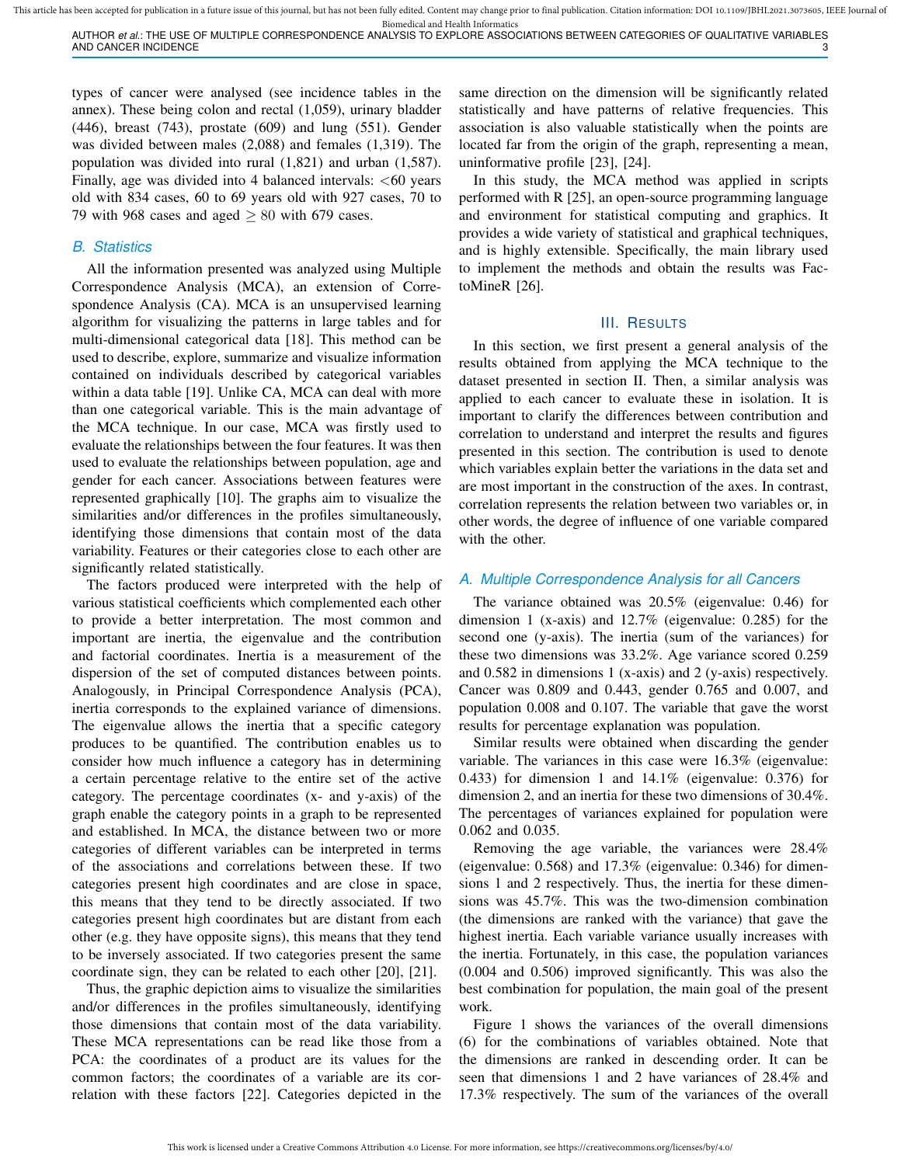This article has been accepted for publication in a future issue of this journal, but has not been fully edited. Content may change prior to final publication. Citation information: DOI 10.1109/JBHI.2021.3073605, IEEE Jour Biomedical and Health Informatics

AUTHOR *et al.*: THE USE OF MULTIPLE CORRESPONDENCE ANALYSIS TO EXPLORE ASSOCIATIONS BETWEEN CATEGORIES OF QUALITATIVE VARIABLES AND CANCER INCIDENCE 3

types of cancer were analysed (see incidence tables in the annex). These being colon and rectal (1,059), urinary bladder (446), breast (743), prostate (609) and lung (551). Gender was divided between males (2,088) and females (1,319). The population was divided into rural (1,821) and urban (1,587). Finally, age was divided into 4 balanced intervals:  $<60$  years old with 834 cases, 60 to 69 years old with 927 cases, 70 to 79 with 968 cases and aged  $\geq 80$  with 679 cases.

### *B. Statistics*

All the information presented was analyzed using Multiple Correspondence Analysis (MCA), an extension of Correspondence Analysis (CA). MCA is an unsupervised learning algorithm for visualizing the patterns in large tables and for multi-dimensional categorical data [18]. This method can be used to describe, explore, summarize and visualize information contained on individuals described by categorical variables within a data table [19]. Unlike CA, MCA can deal with more than one categorical variable. This is the main advantage of the MCA technique. In our case, MCA was firstly used to evaluate the relationships between the four features. It was then used to evaluate the relationships between population, age and gender for each cancer. Associations between features were represented graphically [10]. The graphs aim to visualize the similarities and/or differences in the profiles simultaneously, identifying those dimensions that contain most of the data variability. Features or their categories close to each other are significantly related statistically.

The factors produced were interpreted with the help of various statistical coefficients which complemented each other to provide a better interpretation. The most common and important are inertia, the eigenvalue and the contribution and factorial coordinates. Inertia is a measurement of the dispersion of the set of computed distances between points. Analogously, in Principal Correspondence Analysis (PCA), inertia corresponds to the explained variance of dimensions. The eigenvalue allows the inertia that a specific category produces to be quantified. The contribution enables us to consider how much influence a category has in determining a certain percentage relative to the entire set of the active category. The percentage coordinates (x- and y-axis) of the graph enable the category points in a graph to be represented and established. In MCA, the distance between two or more categories of different variables can be interpreted in terms of the associations and correlations between these. If two categories present high coordinates and are close in space, this means that they tend to be directly associated. If two categories present high coordinates but are distant from each other (e.g. they have opposite signs), this means that they tend to be inversely associated. If two categories present the same coordinate sign, they can be related to each other [20], [21].

Thus, the graphic depiction aims to visualize the similarities and/or differences in the profiles simultaneously, identifying those dimensions that contain most of the data variability. These MCA representations can be read like those from a PCA: the coordinates of a product are its values for the common factors; the coordinates of a variable are its correlation with these factors [22]. Categories depicted in the

same direction on the dimension will be significantly related statistically and have patterns of relative frequencies. This association is also valuable statistically when the points are located far from the origin of the graph, representing a mean, uninformative profile [23], [24].

In this study, the MCA method was applied in scripts performed with R [25], an open-source programming language and environment for statistical computing and graphics. It provides a wide variety of statistical and graphical techniques, and is highly extensible. Specifically, the main library used to implement the methods and obtain the results was FactoMineR [26].

#### III. RESULTS

In this section, we first present a general analysis of the results obtained from applying the MCA technique to the dataset presented in section II. Then, a similar analysis was applied to each cancer to evaluate these in isolation. It is important to clarify the differences between contribution and correlation to understand and interpret the results and figures presented in this section. The contribution is used to denote which variables explain better the variations in the data set and are most important in the construction of the axes. In contrast, correlation represents the relation between two variables or, in other words, the degree of influence of one variable compared with the other.

#### *A. Multiple Correspondence Analysis for all Cancers*

The variance obtained was 20.5% (eigenvalue: 0.46) for dimension 1 (x-axis) and 12.7% (eigenvalue: 0.285) for the second one (y-axis). The inertia (sum of the variances) for these two dimensions was 33.2%. Age variance scored 0.259 and 0.582 in dimensions 1 (x-axis) and 2 (y-axis) respectively. Cancer was 0.809 and 0.443, gender 0.765 and 0.007, and population 0.008 and 0.107. The variable that gave the worst results for percentage explanation was population.

Similar results were obtained when discarding the gender variable. The variances in this case were 16.3% (eigenvalue: 0.433) for dimension 1 and 14.1% (eigenvalue: 0.376) for dimension 2, and an inertia for these two dimensions of 30.4%. The percentages of variances explained for population were 0.062 and 0.035.

Removing the age variable, the variances were 28.4% (eigenvalue: 0.568) and 17.3% (eigenvalue: 0.346) for dimensions 1 and 2 respectively. Thus, the inertia for these dimensions was 45.7%. This was the two-dimension combination (the dimensions are ranked with the variance) that gave the highest inertia. Each variable variance usually increases with the inertia. Fortunately, in this case, the population variances (0.004 and 0.506) improved significantly. This was also the best combination for population, the main goal of the present work.

Figure 1 shows the variances of the overall dimensions (6) for the combinations of variables obtained. Note that the dimensions are ranked in descending order. It can be seen that dimensions 1 and 2 have variances of 28.4% and 17.3% respectively. The sum of the variances of the overall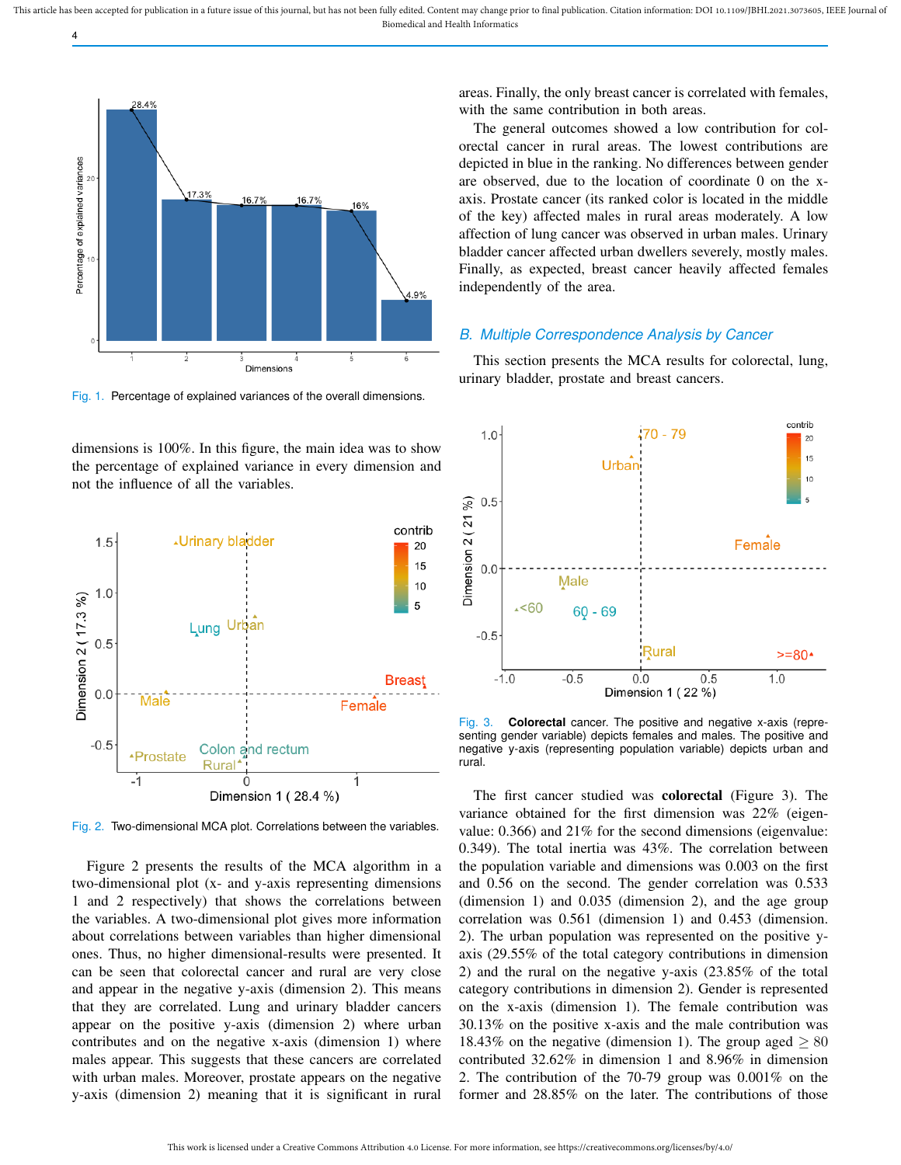

4

Fig. 1. Percentage of explained variances of the overall dimensions.

dimensions is 100%. In this figure, the main idea was to show the percentage of explained variance in every dimension and not the influence of all the variables.



Fig. 2. Two-dimensional MCA plot. Correlations between the variables.

Figure 2 presents the results of the MCA algorithm in a two-dimensional plot (x- and y-axis representing dimensions 1 and 2 respectively) that shows the correlations between the variables. A two-dimensional plot gives more information about correlations between variables than higher dimensional ones. Thus, no higher dimensional-results were presented. It can be seen that colorectal cancer and rural are very close and appear in the negative y-axis (dimension 2). This means that they are correlated. Lung and urinary bladder cancers appear on the positive y-axis (dimension 2) where urban contributes and on the negative x-axis (dimension 1) where males appear. This suggests that these cancers are correlated with urban males. Moreover, prostate appears on the negative y-axis (dimension 2) meaning that it is significant in rural

areas. Finally, the only breast cancer is correlated with females, with the same contribution in both areas.

The general outcomes showed a low contribution for colorectal cancer in rural areas. The lowest contributions are depicted in blue in the ranking. No differences between gender are observed, due to the location of coordinate 0 on the xaxis. Prostate cancer (its ranked color is located in the middle of the key) affected males in rural areas moderately. A low affection of lung cancer was observed in urban males. Urinary bladder cancer affected urban dwellers severely, mostly males. Finally, as expected, breast cancer heavily affected females independently of the area.

#### *B. Multiple Correspondence Analysis by Cancer*

This section presents the MCA results for colorectal, lung, urinary bladder, prostate and breast cancers.



Fig. 3. **Colorectal** cancer. The positive and negative x-axis (representing gender variable) depicts females and males. The positive and negative y-axis (representing population variable) depicts urban and rural.

The first cancer studied was colorectal (Figure 3). The variance obtained for the first dimension was 22% (eigenvalue: 0.366) and 21% for the second dimensions (eigenvalue: 0.349). The total inertia was 43%. The correlation between the population variable and dimensions was 0.003 on the first and 0.56 on the second. The gender correlation was 0.533 (dimension 1) and 0.035 (dimension 2), and the age group correlation was 0.561 (dimension 1) and 0.453 (dimension. 2). The urban population was represented on the positive yaxis (29.55% of the total category contributions in dimension 2) and the rural on the negative y-axis (23.85% of the total category contributions in dimension 2). Gender is represented on the x-axis (dimension 1). The female contribution was 30.13% on the positive x-axis and the male contribution was 18.43% on the negative (dimension 1). The group aged  $\geq 80$ contributed 32.62% in dimension 1 and 8.96% in dimension 2. The contribution of the 70-79 group was 0.001% on the former and 28.85% on the later. The contributions of those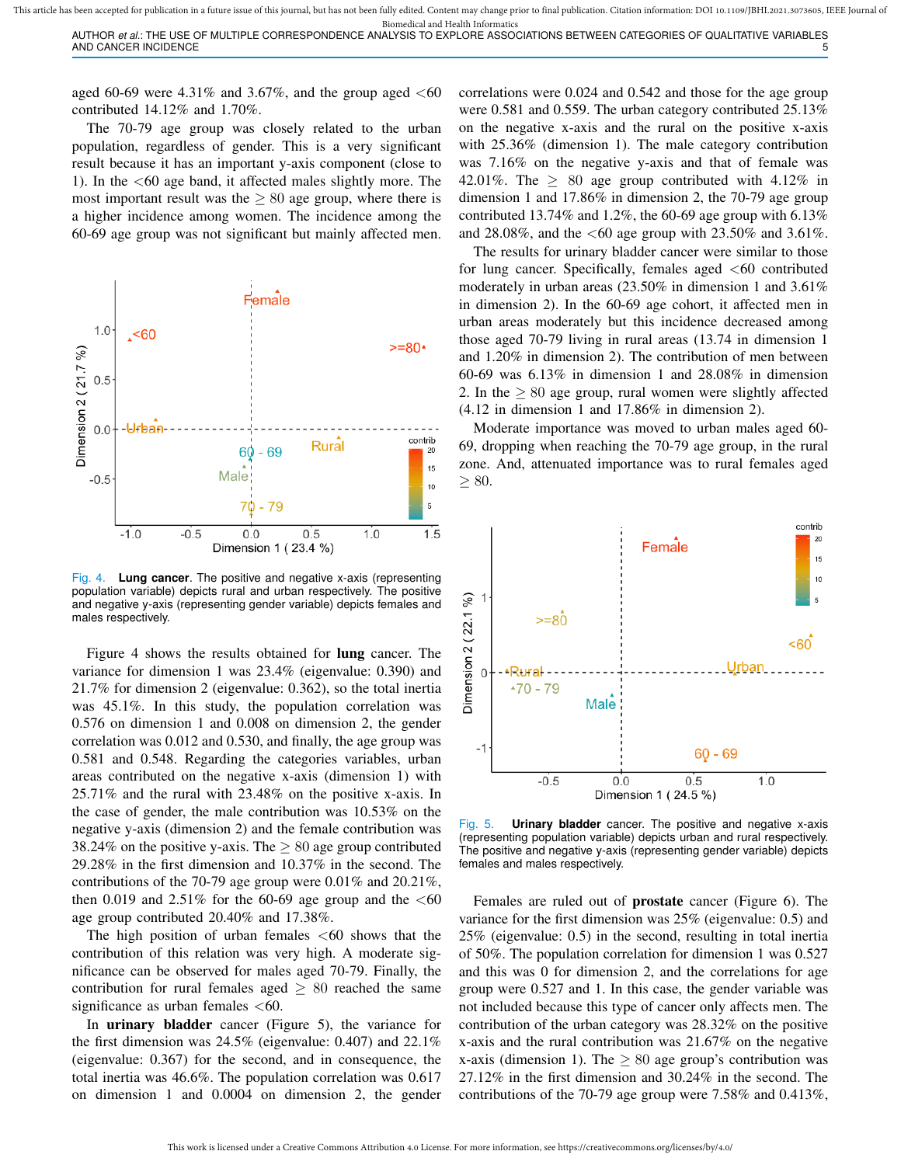Biomedical and Health Informatics AUTHOR *et al.*: THE USE OF MULTIPLE CORRESPONDENCE ANALYSIS TO EXPLORE ASSOCIATIONS BETWEEN CATEGORIES OF QUALITATIVE VARIABLES AND CANCER INCIDENCE

aged 60-69 were 4.31% and 3.67%, and the group aged  $<60$ contributed 14.12% and 1.70%.

The 70-79 age group was closely related to the urban population, regardless of gender. This is a very significant result because it has an important y-axis component (close to 1). In the  $<60$  age band, it affected males slightly more. The most important result was the  $\geq 80$  age group, where there is a higher incidence among women. The incidence among the 60-69 age group was not significant but mainly affected men.



Fig. 4. **Lung cancer**. The positive and negative x-axis (representing population variable) depicts rural and urban respectively. The positive and negative y-axis (representing gender variable) depicts females and males respectively.

Figure 4 shows the results obtained for lung cancer. The variance for dimension 1 was 23.4% (eigenvalue: 0.390) and 21.7% for dimension 2 (eigenvalue: 0.362), so the total inertia was 45.1%. In this study, the population correlation was 0.576 on dimension 1 and 0.008 on dimension 2, the gender correlation was 0.012 and 0.530, and finally, the age group was 0.581 and 0.548. Regarding the categories variables, urban areas contributed on the negative x-axis (dimension 1) with 25.71% and the rural with 23.48% on the positive x-axis. In the case of gender, the male contribution was 10.53% on the negative y-axis (dimension 2) and the female contribution was 38.24% on the positive y-axis. The  $\geq 80$  age group contributed 29.28% in the first dimension and 10.37% in the second. The contributions of the 70-79 age group were 0.01% and 20.21%, then 0.019 and 2.51% for the 60-69 age group and the  $<60$ age group contributed 20.40% and 17.38%.

The high position of urban females  $\leq 60$  shows that the contribution of this relation was very high. A moderate significance can be observed for males aged 70-79. Finally, the contribution for rural females aged  $\geq 80$  reached the same significance as urban females  $<60$ .

In urinary bladder cancer (Figure 5), the variance for the first dimension was 24.5% (eigenvalue: 0.407) and 22.1% (eigenvalue: 0.367) for the second, and in consequence, the total inertia was 46.6%. The population correlation was 0.617 on dimension 1 and 0.0004 on dimension 2, the gender correlations were 0.024 and 0.542 and those for the age group were 0.581 and 0.559. The urban category contributed 25.13% on the negative x-axis and the rural on the positive x-axis with 25.36% (dimension 1). The male category contribution was 7.16% on the negative y-axis and that of female was 42.01%. The  $\geq$  80 age group contributed with 4.12% in dimension 1 and 17.86% in dimension 2, the 70-79 age group contributed 13.74% and 1.2%, the 60-69 age group with 6.13% and 28.08%, and the  $<60$  age group with 23.50% and 3.61%.

The results for urinary bladder cancer were similar to those for lung cancer. Specifically, females aged  $\leq 60$  contributed moderately in urban areas (23.50% in dimension 1 and 3.61% in dimension 2). In the 60-69 age cohort, it affected men in urban areas moderately but this incidence decreased among those aged 70-79 living in rural areas (13.74 in dimension 1 and 1.20% in dimension 2). The contribution of men between 60-69 was 6.13% in dimension 1 and 28.08% in dimension 2. In the  $\geq 80$  age group, rural women were slightly affected (4.12 in dimension 1 and 17.86% in dimension 2).

Moderate importance was moved to urban males aged 60- 69, dropping when reaching the 70-79 age group, in the rural zone. And, attenuated importance was to rural females aged  $\geq 80$ .



Fig. 5. **Urinary bladder** cancer. The positive and negative x-axis (representing population variable) depicts urban and rural respectively. The positive and negative y-axis (representing gender variable) depicts females and males respectively.

Females are ruled out of prostate cancer (Figure 6). The variance for the first dimension was 25% (eigenvalue: 0.5) and 25% (eigenvalue: 0.5) in the second, resulting in total inertia of 50%. The population correlation for dimension 1 was 0.527 and this was 0 for dimension 2, and the correlations for age group were 0.527 and 1. In this case, the gender variable was not included because this type of cancer only affects men. The contribution of the urban category was 28.32% on the positive x-axis and the rural contribution was 21.67% on the negative x-axis (dimension 1). The  $\geq 80$  age group's contribution was 27.12% in the first dimension and 30.24% in the second. The contributions of the 70-79 age group were 7.58% and 0.413%,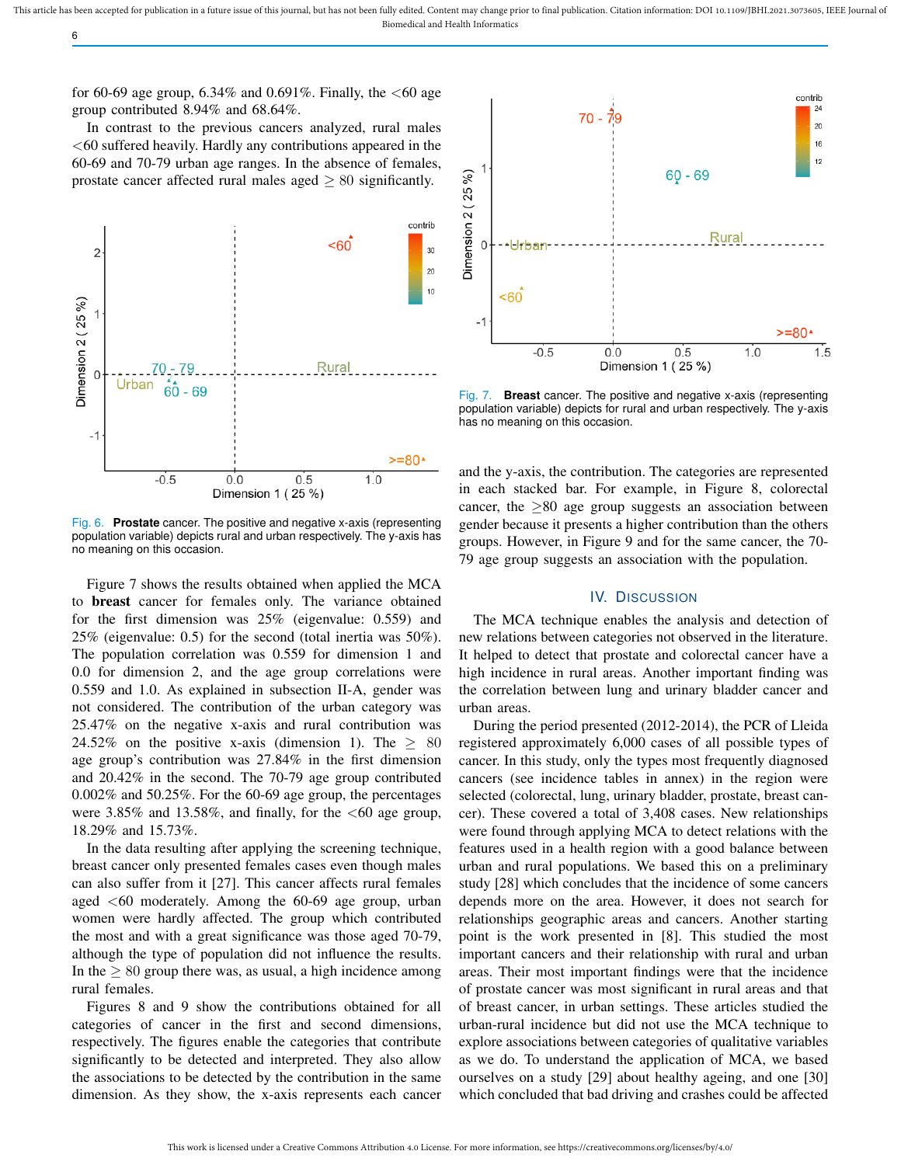for 60-69 age group, 6.34% and 0.691%. Finally, the  $<60$  age group contributed 8.94% and 68.64%.

6

In contrast to the previous cancers analyzed, rural males  $<$  60 suffered heavily. Hardly any contributions appeared in the 60-69 and 70-79 urban age ranges. In the absence of females, prostate cancer affected rural males aged  $\geq 80$  significantly.



Fig. 6. **Prostate** cancer. The positive and negative x-axis (representing population variable) depicts rural and urban respectively. The y-axis has no meaning on this occasion.

Figure 7 shows the results obtained when applied the MCA to breast cancer for females only. The variance obtained for the first dimension was 25% (eigenvalue: 0.559) and 25% (eigenvalue: 0.5) for the second (total inertia was 50%). The population correlation was 0.559 for dimension 1 and 0.0 for dimension 2, and the age group correlations were 0.559 and 1.0. As explained in subsection II-A, gender was not considered. The contribution of the urban category was 25.47% on the negative x-axis and rural contribution was 24.52% on the positive x-axis (dimension 1). The  $\geq 80$ age group's contribution was 27.84% in the first dimension and 20.42% in the second. The 70-79 age group contributed 0.002% and 50.25%. For the 60-69 age group, the percentages were 3.85% and 13.58%, and finally, for the  $\leq 60$  age group, 18.29% and 15.73%.

In the data resulting after applying the screening technique, breast cancer only presented females cases even though males can also suffer from it [27]. This cancer affects rural females aged  $<60$  moderately. Among the 60-69 age group, urban women were hardly affected. The group which contributed the most and with a great significance was those aged 70-79, although the type of population did not influence the results. In the  $\geq 80$  group there was, as usual, a high incidence among rural females.

Figures 8 and 9 show the contributions obtained for all categories of cancer in the first and second dimensions, respectively. The figures enable the categories that contribute significantly to be detected and interpreted. They also allow the associations to be detected by the contribution in the same dimension. As they show, the x-axis represents each cancer



Fig. 7. **Breast** cancer. The positive and negative x-axis (representing population variable) depicts for rural and urban respectively. The y-axis has no meaning on this occasion.

and the y-axis, the contribution. The categories are represented in each stacked bar. For example, in Figure 8, colorectal cancer, the  $\geq 80$  age group suggests an association between gender because it presents a higher contribution than the others groups. However, in Figure 9 and for the same cancer, the 70- 79 age group suggests an association with the population.

## IV. DISCUSSION

The MCA technique enables the analysis and detection of new relations between categories not observed in the literature. It helped to detect that prostate and colorectal cancer have a high incidence in rural areas. Another important finding was the correlation between lung and urinary bladder cancer and urban areas.

During the period presented (2012-2014), the PCR of Lleida registered approximately 6,000 cases of all possible types of cancer. In this study, only the types most frequently diagnosed cancers (see incidence tables in annex) in the region were selected (colorectal, lung, urinary bladder, prostate, breast cancer). These covered a total of 3,408 cases. New relationships were found through applying MCA to detect relations with the features used in a health region with a good balance between urban and rural populations. We based this on a preliminary study [28] which concludes that the incidence of some cancers depends more on the area. However, it does not search for relationships geographic areas and cancers. Another starting point is the work presented in [8]. This studied the most important cancers and their relationship with rural and urban areas. Their most important findings were that the incidence of prostate cancer was most significant in rural areas and that of breast cancer, in urban settings. These articles studied the urban-rural incidence but did not use the MCA technique to explore associations between categories of qualitative variables as we do. To understand the application of MCA, we based ourselves on a study [29] about healthy ageing, and one [30] which concluded that bad driving and crashes could be affected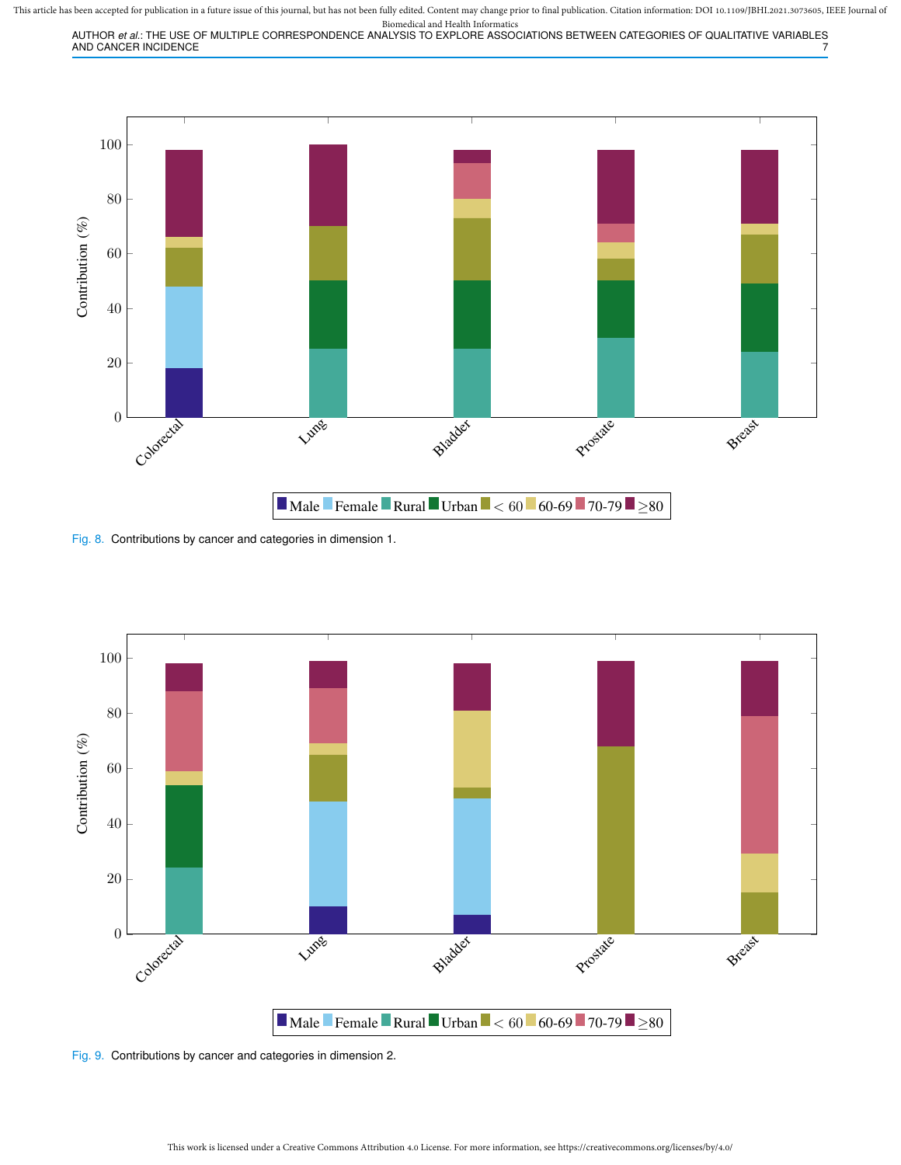This article has been accepted for publication in a future issue of this journal, but has not been fully edited. Content may change prior to final publication. Citation information: DOI 10.1109/JBHI.2021.3073605, IEEE Jour Biomedical and Health Informatics

AUTHOR *et al.*: THE USE OF MULTIPLE CORRESPONDENCE ANALYSIS TO EXPLORE ASSOCIATIONS BETWEEN CATEGORIES OF QUALITATIVE VARIABLES AND CANCER INCIDENCE



Fig. 8. Contributions by cancer and categories in dimension 1.



Fig. 9. Contributions by cancer and categories in dimension 2.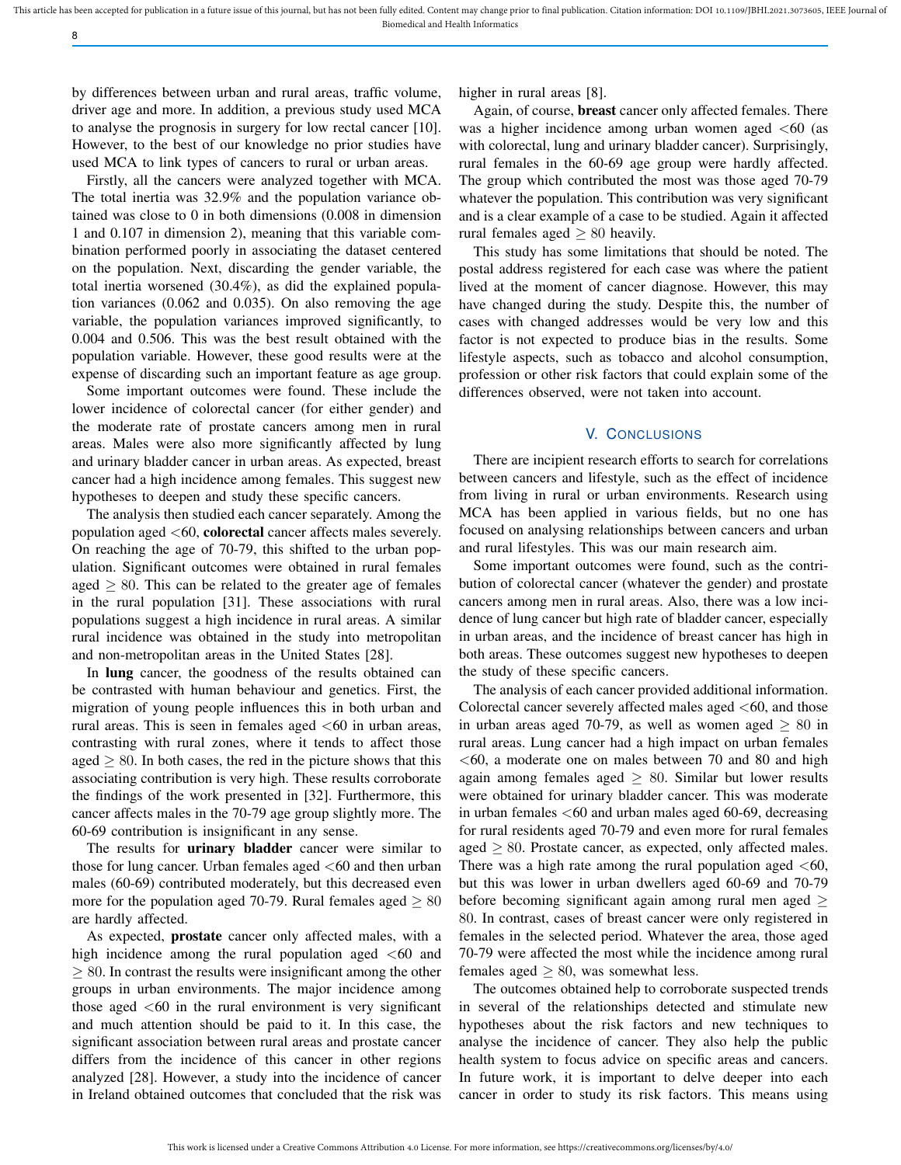by differences between urban and rural areas, traffic volume, driver age and more. In addition, a previous study used MCA to analyse the prognosis in surgery for low rectal cancer [10]. However, to the best of our knowledge no prior studies have used MCA to link types of cancers to rural or urban areas.

8

Firstly, all the cancers were analyzed together with MCA. The total inertia was 32.9% and the population variance obtained was close to 0 in both dimensions (0.008 in dimension 1 and 0.107 in dimension 2), meaning that this variable combination performed poorly in associating the dataset centered on the population. Next, discarding the gender variable, the total inertia worsened (30.4%), as did the explained population variances (0.062 and 0.035). On also removing the age variable, the population variances improved significantly, to 0.004 and 0.506. This was the best result obtained with the population variable. However, these good results were at the expense of discarding such an important feature as age group.

Some important outcomes were found. These include the lower incidence of colorectal cancer (for either gender) and the moderate rate of prostate cancers among men in rural areas. Males were also more significantly affected by lung and urinary bladder cancer in urban areas. As expected, breast cancer had a high incidence among females. This suggest new hypotheses to deepen and study these specific cancers.

The analysis then studied each cancer separately. Among the population aged  $<$ 60, colorectal cancer affects males severely. On reaching the age of 70-79, this shifted to the urban population. Significant outcomes were obtained in rural females aged  $\geq 80$ . This can be related to the greater age of females in the rural population [31]. These associations with rural populations suggest a high incidence in rural areas. A similar rural incidence was obtained in the study into metropolitan and non-metropolitan areas in the United States [28].

In lung cancer, the goodness of the results obtained can be contrasted with human behaviour and genetics. First, the migration of young people influences this in both urban and rural areas. This is seen in females aged  $<60$  in urban areas, contrasting with rural zones, where it tends to affect those aged  $\geq 80$ . In both cases, the red in the picture shows that this associating contribution is very high. These results corroborate the findings of the work presented in [32]. Furthermore, this cancer affects males in the 70-79 age group slightly more. The 60-69 contribution is insignificant in any sense.

The results for **urinary bladder** cancer were similar to those for lung cancer. Urban females aged  $<$  60 and then urban males (60-69) contributed moderately, but this decreased even more for the population aged 70-79. Rural females aged  $\geq 80$ are hardly affected.

As expected, **prostate** cancer only affected males, with a high incidence among the rural population aged  $<60$  and  $\geq$  80. In contrast the results were insignificant among the other groups in urban environments. The major incidence among those aged  $<$ 60 in the rural environment is very significant and much attention should be paid to it. In this case, the significant association between rural areas and prostate cancer differs from the incidence of this cancer in other regions analyzed [28]. However, a study into the incidence of cancer in Ireland obtained outcomes that concluded that the risk was

higher in rural areas [8].

Again, of course, breast cancer only affected females. There was a higher incidence among urban women aged  $\leq 60$  (as with colorectal, lung and urinary bladder cancer). Surprisingly, rural females in the 60-69 age group were hardly affected. The group which contributed the most was those aged 70-79 whatever the population. This contribution was very significant and is a clear example of a case to be studied. Again it affected rural females aged  $\geq 80$  heavily.

This study has some limitations that should be noted. The postal address registered for each case was where the patient lived at the moment of cancer diagnose. However, this may have changed during the study. Despite this, the number of cases with changed addresses would be very low and this factor is not expected to produce bias in the results. Some lifestyle aspects, such as tobacco and alcohol consumption, profession or other risk factors that could explain some of the differences observed, were not taken into account.

# V. CONCLUSIONS

There are incipient research efforts to search for correlations between cancers and lifestyle, such as the effect of incidence from living in rural or urban environments. Research using MCA has been applied in various fields, but no one has focused on analysing relationships between cancers and urban and rural lifestyles. This was our main research aim.

Some important outcomes were found, such as the contribution of colorectal cancer (whatever the gender) and prostate cancers among men in rural areas. Also, there was a low incidence of lung cancer but high rate of bladder cancer, especially in urban areas, and the incidence of breast cancer has high in both areas. These outcomes suggest new hypotheses to deepen the study of these specific cancers.

The analysis of each cancer provided additional information. Colorectal cancer severely affected males aged  $<60$ , and those in urban areas aged 70-79, as well as women aged  $\geq 80$  in rural areas. Lung cancer had a high impact on urban females  $<$ 60, a moderate one on males between 70 and 80 and high again among females aged  $\geq 80$ . Similar but lower results were obtained for urinary bladder cancer. This was moderate in urban females <60 and urban males aged 60-69, decreasing for rural residents aged 70-79 and even more for rural females aged  $\geq 80$ . Prostate cancer, as expected, only affected males. There was a high rate among the rural population aged  $<60$ , but this was lower in urban dwellers aged 60-69 and 70-79 before becoming significant again among rural men aged  $\geq$ 80. In contrast, cases of breast cancer were only registered in females in the selected period. Whatever the area, those aged 70-79 were affected the most while the incidence among rural females aged  $\geq 80$ , was somewhat less.

The outcomes obtained help to corroborate suspected trends in several of the relationships detected and stimulate new hypotheses about the risk factors and new techniques to analyse the incidence of cancer. They also help the public health system to focus advice on specific areas and cancers. In future work, it is important to delve deeper into each cancer in order to study its risk factors. This means using